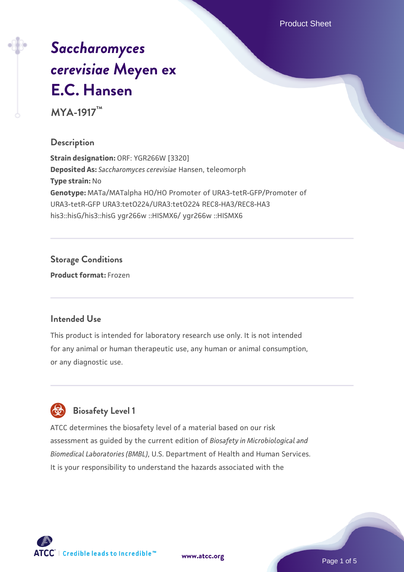Product Sheet

# *[Saccharomyces](https://www.atcc.org/products/mya-1917) [cerevisiae](https://www.atcc.org/products/mya-1917)* **[Meyen ex](https://www.atcc.org/products/mya-1917) [E.C. Hansen](https://www.atcc.org/products/mya-1917)**

**MYA-1917™**

# **Description**

**Strain designation:** ORF: YGR266W [3320] **Deposited As:** *Saccharomyces cerevisiae* Hansen, teleomorph **Type strain:** No **Genotype:** MATa/MATalpha HO/HO Promoter of URA3-tetR-GFP/Promoter of URA3-tetR-GFP URA3:tetO224/URA3:tetO224 REC8-HA3/REC8-HA3 his3::hisG/his3::hisG ygr266w ::HISMX6/ ygr266w ::HISMX6

# **Storage Conditions**

**Product format:** Frozen

## **Intended Use**

This product is intended for laboratory research use only. It is not intended for any animal or human therapeutic use, any human or animal consumption, or any diagnostic use.



# **Biosafety Level 1**

ATCC determines the biosafety level of a material based on our risk assessment as guided by the current edition of *Biosafety in Microbiological and Biomedical Laboratories (BMBL)*, U.S. Department of Health and Human Services. It is your responsibility to understand the hazards associated with the

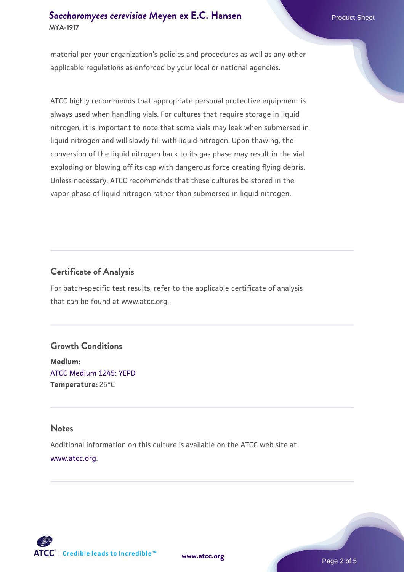material per your organization's policies and procedures as well as any other applicable regulations as enforced by your local or national agencies.

ATCC highly recommends that appropriate personal protective equipment is always used when handling vials. For cultures that require storage in liquid nitrogen, it is important to note that some vials may leak when submersed in liquid nitrogen and will slowly fill with liquid nitrogen. Upon thawing, the conversion of the liquid nitrogen back to its gas phase may result in the vial exploding or blowing off its cap with dangerous force creating flying debris. Unless necessary, ATCC recommends that these cultures be stored in the vapor phase of liquid nitrogen rather than submersed in liquid nitrogen.

# **Certificate of Analysis**

For batch-specific test results, refer to the applicable certificate of analysis that can be found at www.atcc.org.

## **Growth Conditions**

**Medium:**  [ATCC Medium 1245: YEPD](https://www.atcc.org/-/media/product-assets/documents/microbial-media-formulations/1/2/4/5/atcc-medium-1245.pdf?rev=705ca55d1b6f490a808a965d5c072196) **Temperature:** 25°C

#### **Notes**

Additional information on this culture is available on the ATCC web site at [www.atcc.org.](http://www.atcc.org/)



**[www.atcc.org](http://www.atcc.org)**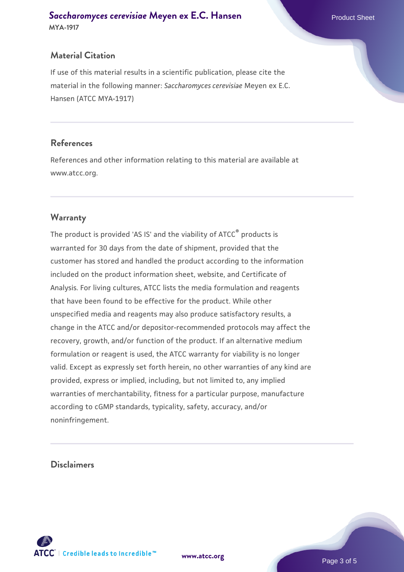# **Material Citation**

If use of this material results in a scientific publication, please cite the material in the following manner: *Saccharomyces cerevisiae* Meyen ex E.C. Hansen (ATCC MYA-1917)

# **References**

References and other information relating to this material are available at www.atcc.org.

# **Warranty**

The product is provided 'AS IS' and the viability of ATCC® products is warranted for 30 days from the date of shipment, provided that the customer has stored and handled the product according to the information included on the product information sheet, website, and Certificate of Analysis. For living cultures, ATCC lists the media formulation and reagents that have been found to be effective for the product. While other unspecified media and reagents may also produce satisfactory results, a change in the ATCC and/or depositor-recommended protocols may affect the recovery, growth, and/or function of the product. If an alternative medium formulation or reagent is used, the ATCC warranty for viability is no longer valid. Except as expressly set forth herein, no other warranties of any kind are provided, express or implied, including, but not limited to, any implied warranties of merchantability, fitness for a particular purpose, manufacture according to cGMP standards, typicality, safety, accuracy, and/or noninfringement.

# **Disclaimers**

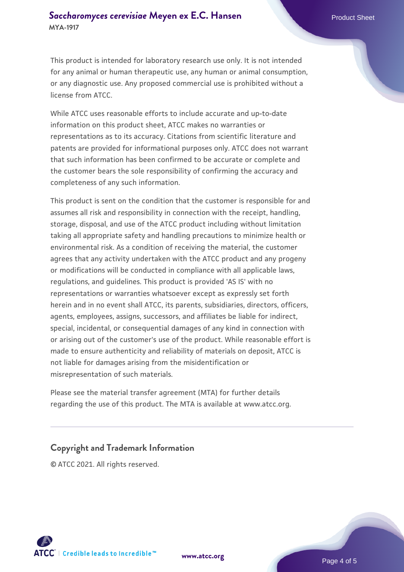This product is intended for laboratory research use only. It is not intended for any animal or human therapeutic use, any human or animal consumption, or any diagnostic use. Any proposed commercial use is prohibited without a license from ATCC.

While ATCC uses reasonable efforts to include accurate and up-to-date information on this product sheet, ATCC makes no warranties or representations as to its accuracy. Citations from scientific literature and patents are provided for informational purposes only. ATCC does not warrant that such information has been confirmed to be accurate or complete and the customer bears the sole responsibility of confirming the accuracy and completeness of any such information.

This product is sent on the condition that the customer is responsible for and assumes all risk and responsibility in connection with the receipt, handling, storage, disposal, and use of the ATCC product including without limitation taking all appropriate safety and handling precautions to minimize health or environmental risk. As a condition of receiving the material, the customer agrees that any activity undertaken with the ATCC product and any progeny or modifications will be conducted in compliance with all applicable laws, regulations, and guidelines. This product is provided 'AS IS' with no representations or warranties whatsoever except as expressly set forth herein and in no event shall ATCC, its parents, subsidiaries, directors, officers, agents, employees, assigns, successors, and affiliates be liable for indirect, special, incidental, or consequential damages of any kind in connection with or arising out of the customer's use of the product. While reasonable effort is made to ensure authenticity and reliability of materials on deposit, ATCC is not liable for damages arising from the misidentification or misrepresentation of such materials.

Please see the material transfer agreement (MTA) for further details regarding the use of this product. The MTA is available at www.atcc.org.

## **Copyright and Trademark Information**

© ATCC 2021. All rights reserved.